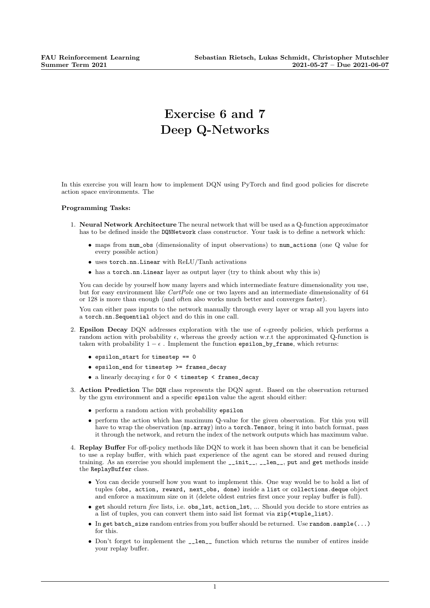## Exercise 6 and 7 Deep Q-Networks

In this exercise you will learn how to implement DQN using PyTorch and find good policies for discrete action space environments. The

## Programming Tasks:

- 1. Neural Network Architecture The neural network that will be used as a Q-function approximator has to be defined inside the DQNNetwork class constructor. Your task is to define a network which:
	- maps from num\_obs (dimensionality of input observations) to num\_actions (one Q value for every possible action)
	- uses torch.nn.Linear with ReLU/Tanh activations
	- has a torch.nn.Linear layer as output layer (try to think about why this is)

You can decide by yourself how many layers and which intermediate feature dimensionality you use, but for easy environment like CartPole one or two layers and an intermediate dimensionality of 64 or 128 is more than enough (and often also works much better and converges faster).

You can either pass inputs to the network manually through every layer or wrap all you layers into a torch.nn.Sequential object and do this in one call.

- 2. Epsilon Decay DQN addresses exploration with the use of  $\epsilon$ -greedy policies, which performs a random action with probability  $\epsilon$ , whereas the greedy action w.r.t the approximated Q-function is taken with probability  $1 - \epsilon$ . Implement the function epsilon\_by\_frame, which returns:
	- epsilon start for timestep == 0
	- epsilon\_end for timestep >= frames\_decay
	- a linearly decaying  $\epsilon$  for 0 < timestep < frames\_decay
- 3. Action Prediction The DQN class represents the DQN agent. Based on the observation returned by the gym environment and a specific epsilon value the agent should either:
	- perform a random action with probability epsilon
	- perform the action which has maximum Q-value for the given observation. For this you will have to wrap the observation (np.array) into a torch. Tensor, bring it into batch format, pass it through the network, and return the index of the network outputs which has maximum value.
- 4. Replay Buffer For off-policy methods like DQN to work it has been shown that it can be beneficial to use a replay buffer, with which past experience of the agent can be stored and reused during training. As an exercise you should implement the \_\_init\_\_, \_\_len\_\_, put and get methods inside the ReplayBuffer class.
	- You can decide yourself how you want to implement this. One way would be to hold a list of tuples (obs, action, reward, next\_obs, done) inside a list or collections.deque object and enforce a maximum size on it (delete oldest entries first once your replay buffer is full).
	- get should return five lists, i.e. obs\_lst, action\_lst, ... Should you decide to store entries as a list of tuples, you can convert them into said list format via zip(\*tuple\_list).
	- In get batch\_size random entries from you buffer should be returned. Use random.sample(...) for this.
	- Don't forget to implement the **\_\_len\_\_** function which returns the number of entires inside your replay buffer.